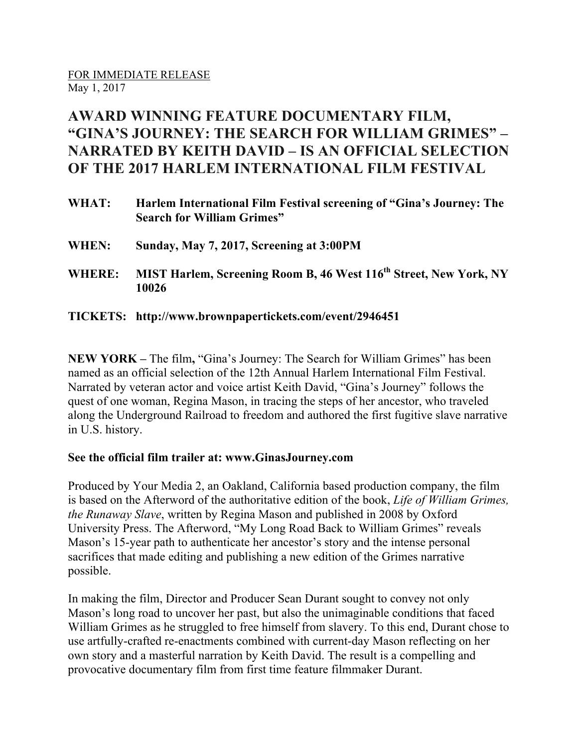## **AWARD WINNING FEATURE DOCUMENTARY FILM, "GINA'S JOURNEY: THE SEARCH FOR WILLIAM GRIMES" – NARRATED BY KEITH DAVID – IS AN OFFICIAL SELECTION OF THE 2017 HARLEM INTERNATIONAL FILM FESTIVAL**

| WHAT:         | Harlem International Film Festival screening of "Gina's Journey: The<br><b>Search for William Grimes"</b> |
|---------------|-----------------------------------------------------------------------------------------------------------|
| WHEN:         | Sunday, May 7, 2017, Screening at 3:00PM                                                                  |
| <b>WHERE:</b> | MIST Harlem, Screening Room B, 46 West 116 <sup>th</sup> Street, New York, NY<br>10026                    |

**TICKETS: http://www.brownpapertickets.com/event/2946451**

**NEW YORK –** The film**,** "Gina's Journey: The Search for William Grimes" has been named as an official selection of the 12th Annual Harlem International Film Festival. Narrated by veteran actor and voice artist Keith David, "Gina's Journey" follows the quest of one woman, Regina Mason, in tracing the steps of her ancestor, who traveled along the Underground Railroad to freedom and authored the first fugitive slave narrative in U.S. history.

## **See the official film trailer at: www.GinasJourney.com**

Produced by Your Media 2, an Oakland, California based production company, the film is based on the Afterword of the authoritative edition of the book, *Life of William Grimes, the Runaway Slave*, written by Regina Mason and published in 2008 by Oxford University Press. The Afterword, "My Long Road Back to William Grimes" reveals Mason's 15-year path to authenticate her ancestor's story and the intense personal sacrifices that made editing and publishing a new edition of the Grimes narrative possible.

In making the film, Director and Producer Sean Durant sought to convey not only Mason's long road to uncover her past, but also the unimaginable conditions that faced William Grimes as he struggled to free himself from slavery. To this end, Durant chose to use artfully-crafted re-enactments combined with current-day Mason reflecting on her own story and a masterful narration by Keith David. The result is a compelling and provocative documentary film from first time feature filmmaker Durant.